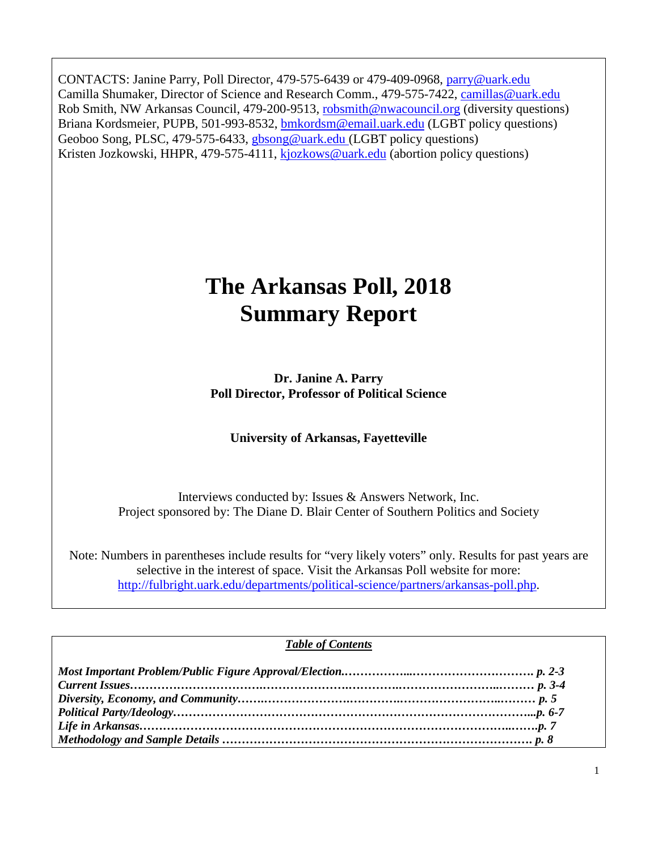CONTACTS: Janine Parry, Poll Director, 479-575-6439 or 479-409-0968, [parry@uark.edu](mailto:parry@uark.edu) Camilla Shumaker, Director of Science and Research Comm., 479-575-7422, [camillas@uark.edu](mailto:camillas@uark.edu) Rob Smith, NW Arkansas Council, 479-200-9513, [robsmith@nwacouncil.org](mailto:robsmith@nwacouncil.org) (diversity questions) Briana Kordsmeier, PUPB, 501-993-8532, **bmkordsm@email.uark.edu** (LGBT policy questions) Geoboo Song, PLSC, 479-575-6433, [gbsong@uark.edu](mailto:gbsong@uark.edu) (LGBT policy questions) Kristen Jozkowski, HHPR, 479-575-4111, [kjozkows@uark.edu](mailto:kjozkows@uark.edu) (abortion policy questions)

# **The Arkansas Poll, 2018 Summary Report**

**Dr. Janine A. Parry Poll Director, Professor of Political Science**

**University of Arkansas, Fayetteville**

Interviews conducted by: Issues & Answers Network, Inc. Project sponsored by: The Diane D. Blair Center of Southern Politics and Society

Note: Numbers in parentheses include results for "very likely voters" only. Results for past years are selective in the interest of space. Visit the Arkansas Poll website for more: [http://fulbright.uark.edu/departments/political-science/partners/arkansas-poll.php.](http://fulbright.uark.edu/departments/political-science/partners/arkansas-poll.php)

#### *Table of Contents*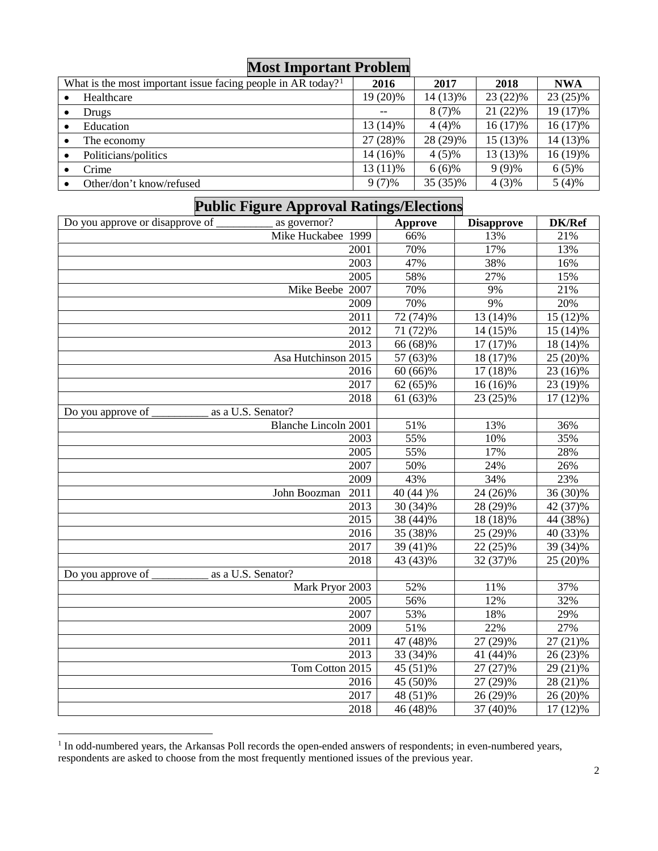| <b>NIOST IMPORTANT PRODIEM</b>                                           |          |          |            |            |  |
|--------------------------------------------------------------------------|----------|----------|------------|------------|--|
| What is the most important issue facing people in AR today? <sup>1</sup> | 2016     | 2017     | 2018       | <b>NWA</b> |  |
| Healthcare                                                               | 19 (20)% | 14 (13)% | $23(22)\%$ | $23(25)\%$ |  |
| Drugs                                                                    | $- -$    | $8(7)\%$ | $21(22)\%$ | 19 (17)%   |  |
| Education                                                                | 13 (14)% | $4(4)\%$ | 16 (17)%   | $16(17)\%$ |  |
| The economy                                                              | 27 (28)% | 28 (29)% | 15 (13)%   | 14 (13)%   |  |
| Politicians/politics                                                     | 14 (16)% | $4(5)\%$ | 13 (13)%   | 16 (19)%   |  |
| Crime                                                                    | 13 (11)% | $6(6)\%$ | $9(9)\%$   | $6(5)\%$   |  |
| Other/don't know/refused                                                 | $9(7)\%$ | 35 (35)% | $4(3)\%$   | $5(4)\%$   |  |

#### **Public Figure Approval Ratings/Elections** Do you approve or disapprove of \_\_\_\_\_\_\_\_\_\_\_\_ as governor? **Approve Disapprove DK/Ref** Mike Huckabee 1999 66% 13% 21% 21%<br>2001 70% 17% 13% 2001 70% 17% 13% 2003 47% 38% 16% 2005 58% 27% 15% Mike Beebe 2007 | 70% | 9% | 21% 2009 70% 9% 20% 2011 72 (74)% 13 (14)% 15 (12)% 2012 71 (72)% 14 (15)% 15 (14)% 2013 66 (68)% 17 (17)% 18 (14)% Asa Hutchinson 2015 57 (63)% 18 (17)% 25 (20)% 2016 60 (66)% 17 (18)% 23 (16)% 2017 62 (65)% 16 (16)% 23 (19)% 2018 61 (63)% 23 (25)% 17 (12)% Do you approve of \_\_\_\_\_\_\_\_\_\_ as a U.S. Senator? Blanche Lincoln 2001 51% 13% 36% 2003 55% 10% 35% 2005 55% 17% 28% 2007 50% 24% 26% 2009 43% 34% 23% John Boozman 2011 40 (44 )% 24 (26)% 36 (30)% 2013 30 (34)% 28 (29)% 42 (37)% 2015 38 (44)% 18 (18)% 44 (38%) 2016 35 (38)% 25 (29)% 40 (33)% 2017 39 (41)% 22 (25)% 39 (34)% 2018 43 (43)% 32 (37)% 25 (20)% Do you approve of \_\_\_\_\_\_\_\_\_\_ as a U.S. Senator? Mark Pryor 2003 52% 11% 37% 2005 56% 12% 32% 2007 53% 18% 29%

| 2009            | 51%      | 22%      | 27%        |
|-----------------|----------|----------|------------|
| 2011            | 47 (48)% | 27 (29)% | $27(21)\%$ |
| 2013            | 33 (34)% | 41 (44)% | $26(23)\%$ |
| Tom Cotton 2015 | 45 (51)% | 27 (27)% | $29(21)\%$ |
| 2016            | 45 (50)% | 27 (29)% | 28 (21)%   |
| 2017            | 48 (51)% | 26 (29)% | $26(20)\%$ |
| 2018            | 46 (48)% | 37 (40)% | $17(12)\%$ |
|                 |          |          |            |

<span id="page-1-0"></span> $<sup>1</sup>$  In odd-numbered years, the Arkansas Poll records the open-ended answers of respondents; in even-numbered years,</sup> respondents are asked to choose from the most frequently mentioned issues of the previous year.

### **Most Important Problem**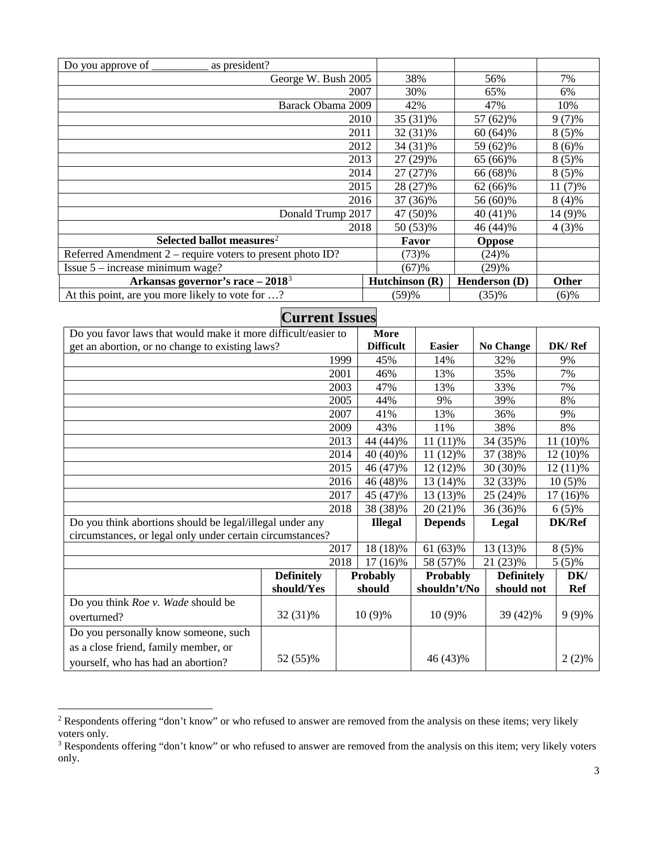| as president?<br>Do you approve of                           |                |               |              |
|--------------------------------------------------------------|----------------|---------------|--------------|
| George W. Bush 2005                                          | 38%            | 56%           | 7%           |
| 2007                                                         | 30%            | 65%           | 6%           |
| Barack Obama 2009                                            | 42%            | 47%           | 10%          |
| 2010                                                         | 35 (31)%       | 57 (62)%      | $9(7)\%$     |
| 2011                                                         | 32 (31)%       | $60(64)\%$    | $8(5)\%$     |
| 2012                                                         | 34 (31)%       | 59 (62)%      | $8(6)\%$     |
| 2013                                                         | 27 (29)%       | 65 (66)%      | $8(5)\%$     |
| 2014                                                         | $27(27)\%$     | 66 (68)%      | $8(5)\%$     |
| 2015                                                         | 28 (27)%       | 62 (66)%      | $11(7)\%$    |
| 2016                                                         | 37 (36)%       | 56 (60)%      | $8(4)\%$     |
| Donald Trump 2017                                            | 47 (50)%       | 40 (41)%      | 14 (9)%      |
| 2018                                                         | 50 (53)%       | 46 (44)%      | $4(3)\%$     |
| Selected ballot measures <sup>2</sup>                        | Favor          | <b>Oppose</b> |              |
| Referred Amendment $2$ – require voters to present photo ID? | (73)%          | (24)%         |              |
| Issue $5$ – increase minimum wage?                           | (67)%          | (29)%         |              |
| Arkansas governor's race $-20183$                            | Hutchinson (R) | Henderson (D) | <b>Other</b> |
| At this point, are you more likely to vote for ?             | (59)%          | (35)%         | $(6)$ %      |

| <b>Current Issues</b>                                         |                   |      |                  |                 |                   |               |
|---------------------------------------------------------------|-------------------|------|------------------|-----------------|-------------------|---------------|
| Do you favor laws that would make it more difficult/easier to |                   |      | More             |                 |                   |               |
| get an abortion, or no change to existing laws?               |                   |      | <b>Difficult</b> | <b>Easier</b>   | <b>No Change</b>  | DK/Ref        |
|                                                               |                   | 1999 | 45%              | 14%             | 32%               | 9%            |
|                                                               | 2001              |      |                  | 13%             | 35%               | 7%            |
|                                                               |                   | 2003 | 47%              | 13%             | 33%               | 7%            |
|                                                               |                   | 2005 | 44%              | 9%              | 39%               | 8%            |
|                                                               |                   | 2007 | 41%              | 13%             | 36%               | 9%            |
|                                                               |                   | 2009 | 43%              | 11%             | 38%               | 8%            |
|                                                               |                   | 2013 | 44 (44)%         | $11(11)\%$      | 34 (35)%          | 11 (10)%      |
|                                                               |                   | 2014 | 40 (40)%         | $11(12)\%$      | 37 (38)%          | $12(10)\%$    |
|                                                               |                   | 2015 | 46 (47)%         | $12(12)\%$      | 30 (30)%          | $12(11)\%$    |
|                                                               |                   | 2016 | 46 (48)%         | 13 (14)%        | 32 (33)%          | $10(5)\%$     |
|                                                               | 2017              |      | 45 (47)%         | 13 (13)%        | 25 (24)%          | 17 (16)%      |
|                                                               |                   | 2018 | 38 (38)%         | 20 (21)%        | 36 (36)%          | $6(5)\%$      |
| Do you think abortions should be legal/illegal under any      |                   |      | <b>Illegal</b>   | <b>Depends</b>  | Legal             | <b>DK/Ref</b> |
| circumstances, or legal only under certain circumstances?     |                   |      |                  |                 |                   |               |
|                                                               |                   | 2017 | 18 (18)%         | 61 (63)%        | 13 (13)%          | $8(5)\%$      |
|                                                               |                   | 2018 | $17(16)\%$       | 58 (57)%        | 21 (23)%          | $5(5)\%$      |
|                                                               | <b>Definitely</b> |      | <b>Probably</b>  | <b>Probably</b> | <b>Definitely</b> | DK/           |
|                                                               | should/Yes        |      | should           | shouldn't/No    | should not        | <b>Ref</b>    |
| Do you think Roe v. Wade should be                            |                   |      |                  |                 |                   |               |
| overturned?                                                   | 32 (31)%          |      | $10(9)\%$        | $10(9)\%$       | 39 (42)%          | $9(9)\%$      |
| Do you personally know someone, such                          |                   |      |                  |                 |                   |               |
| as a close friend, family member, or                          |                   |      |                  |                 |                   |               |
| yourself, who has had an abortion?                            | 52 (55)%          |      |                  | 46 (43)%        |                   | $2(2)\%$      |

<span id="page-2-0"></span><sup>&</sup>lt;sup>2</sup> Respondents offering "don't know" or who refused to answer are removed from the analysis on these items; very likely voters only.

<span id="page-2-1"></span><sup>&</sup>lt;sup>3</sup> Respondents offering "don't know" or who refused to answer are removed from the analysis on this item; very likely voters only.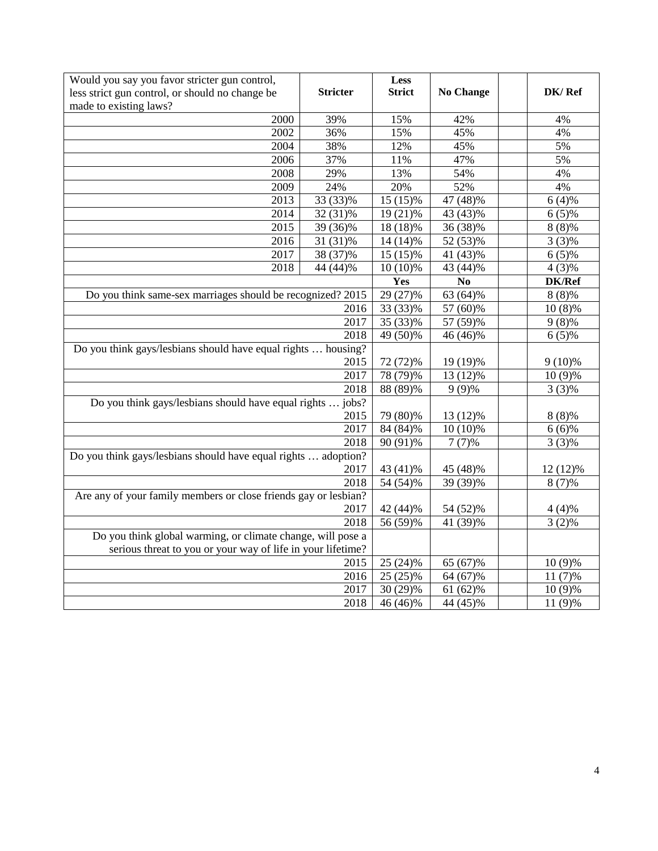| Would you say you favor stricter gun control,                             |                       | Less                  |                  |           |
|---------------------------------------------------------------------------|-----------------------|-----------------------|------------------|-----------|
| less strict gun control, or should no change be<br>made to existing laws? | <b>Stricter</b>       | <b>Strict</b>         | <b>No Change</b> | DK/Ref    |
| 2000                                                                      | 39%                   | 15%                   | 42%              | 4%        |
| 2002                                                                      | 36%                   | 15%                   | 45%              | 4%        |
| 2004                                                                      | 38%                   | 12%                   | 45%              | 5%        |
| 2006                                                                      | 37%                   | 11%                   | 47%              | 5%        |
| 2008                                                                      | 29%                   | 13%                   | 54%              | 4%        |
| 2009                                                                      | 24%                   | 20%                   | 52%              | 4%        |
| 2013                                                                      | 33 (33)%              | 15 (15)%              | 47 (48)%         | 6(4)%     |
| 2014                                                                      | 32 (31)%              | 19 (21)%              | 43 (43)%         | $6(5)\%$  |
| 2015                                                                      | 39 (36)%              | 18 (18)%              | 36 (38)%         | $8(8)\%$  |
| 2016                                                                      | $31(31)\%$            | 14 (14)%              | 52 (53)%         | $3(3)\%$  |
| 2017                                                                      | 38 (37)%              | $15(15)\%$            | 41 (43)%         | $6(5)\%$  |
| 2018                                                                      | 44 (44)%              | $10(10)\%$            | 43 (44)%         | $4(3)\%$  |
|                                                                           |                       | Yes                   | N <sub>0</sub>   | DK/Ref    |
| Do you think same-sex marriages should be recognized? 2015                |                       | 29 (27)%              | 63 (64)%         | $8(8)\%$  |
|                                                                           | 2016                  | 33 (33)%              | 57 (60)%         | $10(8)\%$ |
|                                                                           | 2017                  | 35 (33)%              | 57 (59)%         | $9(8)\%$  |
|                                                                           | 2018                  | $\overline{49(50)}\%$ | 46 (46)%         | $6(5)\%$  |
| Do you think gays/lesbians should have equal rights  housing?             |                       |                       |                  |           |
|                                                                           | 2015                  | 72 (72)%              | 19 (19)%         | $9(10)\%$ |
|                                                                           | 2017                  | 78 (79)%              | 13 (12)%         | 10 (9)%   |
|                                                                           | 2018                  | $88(89)\%$            | $9(9)\%$         | $3(3)\%$  |
| Do you think gays/lesbians should have equal rights  jobs?                |                       |                       |                  |           |
|                                                                           | 2015                  | 79 (80)%              | 13 (12)%         | $8(8)\%$  |
|                                                                           | 2017                  | 84 (84)%              | $10(10)\%$       | $6(6)\%$  |
|                                                                           | 2018                  | 90 (91)%              | $7(7)\%$         | $3(3)\%$  |
| Do you think gays/lesbians should have equal rights  adoption?            | 2017                  |                       |                  |           |
|                                                                           | 43 (41)%              | 45 (48)%              | 12 (12)%         |           |
|                                                                           | $\overline{5}4(54)\%$ | 39 (39)%              | $8(7)\%$         |           |
| Are any of your family members or close friends gay or lesbian?<br>2017   |                       |                       |                  |           |
|                                                                           | 42 (44)%              | 54 (52)%              | $4(4)\%$         |           |
|                                                                           | 56 (59)%              | 41 (39)%              | $3(2)\%$         |           |
| Do you think global warming, or climate change, will pose a               |                       |                       |                  |           |
| serious threat to you or your way of life in your lifetime?               |                       |                       |                  |           |
|                                                                           | 2015                  | $25(24)\%$            | 65 (67)%         | $10(9)\%$ |
|                                                                           | 2016                  | 25 (25)%              | 64 (67)%         | 11 (7)%   |
|                                                                           | 2017                  | 30 (29)%              | 61 (62)%         | 10 (9)%   |
|                                                                           | 2018                  | $\frac{46}{46}$ (46)% | 44 (45)%         | 11 (9)%   |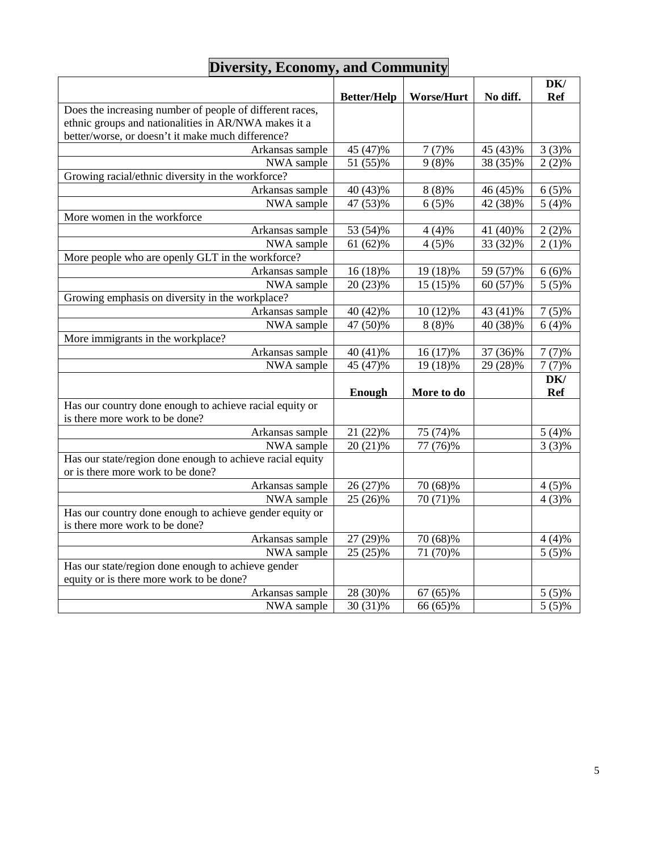| DK/<br><b>Better/Help</b><br><b>Worse/Hurt</b><br>No diff.<br><b>Ref</b><br>Does the increasing number of people of different races,<br>ethnic groups and nationalities in AR/NWA makes it a<br>better/worse, or doesn't it make much difference?<br>$3(3)\%$<br>Arkansas sample<br>45 (47)%<br>$7(7)\%$<br>45 (43)%<br>NWA sample<br>51 (55)%<br>$9(8)\%$<br>38 (35)%<br>$2(2)\%$<br>Growing racial/ethnic diversity in the workforce?<br>Arkansas sample<br>46 (45)%<br>40 (43)%<br>$8(8)\%$<br>$6(5)\%$<br>$\frac{5}{(4) \%}$<br>NWA sample<br>47 (53)%<br>$6(5)\%$<br>42 (38)%<br>More women in the workforce<br>Arkansas sample<br>53 (54)%<br>41 (40)%<br>$2(2)\%$<br>$4(4)\%$<br>61 (62)%<br>$4(5)\%$<br>33 (32)%<br>$2(1)\%$<br>NWA sample<br>More people who are openly GLT in the workforce?<br>Arkansas sample<br>16 (18)%<br>19 (18)%<br>59 (57)%<br>$6(6)\%$<br>20 (23)%<br>$5(5)\%$<br>NWA sample<br>15 (15)%<br>60 (57)%<br>Growing emphasis on diversity in the workplace?<br>Arkansas sample<br>40 (42)%<br>10 (12)%<br>43 (41)%<br>$7(5)\%$<br>47 (50)%<br>NWA sample<br>$8(8)\%$<br>40 (38)%<br>$6(4)\%$<br>More immigrants in the workplace?<br>40 (41)%<br>16 (17)%<br>37 (36)%<br>$7(7)\%$<br>Arkansas sample<br>45 (47)%<br>19 (18)%<br>29 (28)%<br>NWA sample<br>$7(7)\%$<br>DK/<br>More to do<br><b>Ref</b><br>Enough<br>Has our country done enough to achieve racial equity or<br>is there more work to be done?<br>Arkansas sample<br>21 (22)%<br>75 (74)%<br>$5(4)\%$<br>$20(21)\%$<br>77 (76)%<br>$3(3)\%$<br>NWA sample<br>Has our state/region done enough to achieve racial equity<br>or is there more work to be done?<br>Arkansas sample<br>26 (27)%<br>70 (68)%<br>$4(5)\%$<br>70 (71)%<br>25 (26)%<br>$4(3)\%$<br>NWA sample<br>Has our country done enough to achieve gender equity or<br>is there more work to be done?<br>70 (68)%<br>Arkansas sample<br>27 (29)%<br>$4(4)\%$<br>25 (25)%<br>$5(5)\%$<br>NWA sample<br>71 (70)%<br>Has our state/region done enough to achieve gender<br>equity or is there more work to be done?<br>28 (30)%<br>67 (65)%<br>Arkansas sample<br>$5(5)\%$ |            |          |          |          |
|----------------------------------------------------------------------------------------------------------------------------------------------------------------------------------------------------------------------------------------------------------------------------------------------------------------------------------------------------------------------------------------------------------------------------------------------------------------------------------------------------------------------------------------------------------------------------------------------------------------------------------------------------------------------------------------------------------------------------------------------------------------------------------------------------------------------------------------------------------------------------------------------------------------------------------------------------------------------------------------------------------------------------------------------------------------------------------------------------------------------------------------------------------------------------------------------------------------------------------------------------------------------------------------------------------------------------------------------------------------------------------------------------------------------------------------------------------------------------------------------------------------------------------------------------------------------------------------------------------------------------------------------------------------------------------------------------------------------------------------------------------------------------------------------------------------------------------------------------------------------------------------------------------------------------------------------------------------------------------------------------------------------------------------------------------------------------------------------------------------------------------|------------|----------|----------|----------|
|                                                                                                                                                                                                                                                                                                                                                                                                                                                                                                                                                                                                                                                                                                                                                                                                                                                                                                                                                                                                                                                                                                                                                                                                                                                                                                                                                                                                                                                                                                                                                                                                                                                                                                                                                                                                                                                                                                                                                                                                                                                                                                                                  |            |          |          |          |
|                                                                                                                                                                                                                                                                                                                                                                                                                                                                                                                                                                                                                                                                                                                                                                                                                                                                                                                                                                                                                                                                                                                                                                                                                                                                                                                                                                                                                                                                                                                                                                                                                                                                                                                                                                                                                                                                                                                                                                                                                                                                                                                                  |            |          |          |          |
|                                                                                                                                                                                                                                                                                                                                                                                                                                                                                                                                                                                                                                                                                                                                                                                                                                                                                                                                                                                                                                                                                                                                                                                                                                                                                                                                                                                                                                                                                                                                                                                                                                                                                                                                                                                                                                                                                                                                                                                                                                                                                                                                  |            |          |          |          |
|                                                                                                                                                                                                                                                                                                                                                                                                                                                                                                                                                                                                                                                                                                                                                                                                                                                                                                                                                                                                                                                                                                                                                                                                                                                                                                                                                                                                                                                                                                                                                                                                                                                                                                                                                                                                                                                                                                                                                                                                                                                                                                                                  |            |          |          |          |
|                                                                                                                                                                                                                                                                                                                                                                                                                                                                                                                                                                                                                                                                                                                                                                                                                                                                                                                                                                                                                                                                                                                                                                                                                                                                                                                                                                                                                                                                                                                                                                                                                                                                                                                                                                                                                                                                                                                                                                                                                                                                                                                                  |            |          |          |          |
|                                                                                                                                                                                                                                                                                                                                                                                                                                                                                                                                                                                                                                                                                                                                                                                                                                                                                                                                                                                                                                                                                                                                                                                                                                                                                                                                                                                                                                                                                                                                                                                                                                                                                                                                                                                                                                                                                                                                                                                                                                                                                                                                  |            |          |          |          |
|                                                                                                                                                                                                                                                                                                                                                                                                                                                                                                                                                                                                                                                                                                                                                                                                                                                                                                                                                                                                                                                                                                                                                                                                                                                                                                                                                                                                                                                                                                                                                                                                                                                                                                                                                                                                                                                                                                                                                                                                                                                                                                                                  |            |          |          |          |
|                                                                                                                                                                                                                                                                                                                                                                                                                                                                                                                                                                                                                                                                                                                                                                                                                                                                                                                                                                                                                                                                                                                                                                                                                                                                                                                                                                                                                                                                                                                                                                                                                                                                                                                                                                                                                                                                                                                                                                                                                                                                                                                                  |            |          |          |          |
|                                                                                                                                                                                                                                                                                                                                                                                                                                                                                                                                                                                                                                                                                                                                                                                                                                                                                                                                                                                                                                                                                                                                                                                                                                                                                                                                                                                                                                                                                                                                                                                                                                                                                                                                                                                                                                                                                                                                                                                                                                                                                                                                  |            |          |          |          |
|                                                                                                                                                                                                                                                                                                                                                                                                                                                                                                                                                                                                                                                                                                                                                                                                                                                                                                                                                                                                                                                                                                                                                                                                                                                                                                                                                                                                                                                                                                                                                                                                                                                                                                                                                                                                                                                                                                                                                                                                                                                                                                                                  |            |          |          |          |
|                                                                                                                                                                                                                                                                                                                                                                                                                                                                                                                                                                                                                                                                                                                                                                                                                                                                                                                                                                                                                                                                                                                                                                                                                                                                                                                                                                                                                                                                                                                                                                                                                                                                                                                                                                                                                                                                                                                                                                                                                                                                                                                                  |            |          |          |          |
|                                                                                                                                                                                                                                                                                                                                                                                                                                                                                                                                                                                                                                                                                                                                                                                                                                                                                                                                                                                                                                                                                                                                                                                                                                                                                                                                                                                                                                                                                                                                                                                                                                                                                                                                                                                                                                                                                                                                                                                                                                                                                                                                  |            |          |          |          |
|                                                                                                                                                                                                                                                                                                                                                                                                                                                                                                                                                                                                                                                                                                                                                                                                                                                                                                                                                                                                                                                                                                                                                                                                                                                                                                                                                                                                                                                                                                                                                                                                                                                                                                                                                                                                                                                                                                                                                                                                                                                                                                                                  |            |          |          |          |
|                                                                                                                                                                                                                                                                                                                                                                                                                                                                                                                                                                                                                                                                                                                                                                                                                                                                                                                                                                                                                                                                                                                                                                                                                                                                                                                                                                                                                                                                                                                                                                                                                                                                                                                                                                                                                                                                                                                                                                                                                                                                                                                                  |            |          |          |          |
|                                                                                                                                                                                                                                                                                                                                                                                                                                                                                                                                                                                                                                                                                                                                                                                                                                                                                                                                                                                                                                                                                                                                                                                                                                                                                                                                                                                                                                                                                                                                                                                                                                                                                                                                                                                                                                                                                                                                                                                                                                                                                                                                  |            |          |          |          |
|                                                                                                                                                                                                                                                                                                                                                                                                                                                                                                                                                                                                                                                                                                                                                                                                                                                                                                                                                                                                                                                                                                                                                                                                                                                                                                                                                                                                                                                                                                                                                                                                                                                                                                                                                                                                                                                                                                                                                                                                                                                                                                                                  |            |          |          |          |
|                                                                                                                                                                                                                                                                                                                                                                                                                                                                                                                                                                                                                                                                                                                                                                                                                                                                                                                                                                                                                                                                                                                                                                                                                                                                                                                                                                                                                                                                                                                                                                                                                                                                                                                                                                                                                                                                                                                                                                                                                                                                                                                                  |            |          |          |          |
|                                                                                                                                                                                                                                                                                                                                                                                                                                                                                                                                                                                                                                                                                                                                                                                                                                                                                                                                                                                                                                                                                                                                                                                                                                                                                                                                                                                                                                                                                                                                                                                                                                                                                                                                                                                                                                                                                                                                                                                                                                                                                                                                  |            |          |          |          |
|                                                                                                                                                                                                                                                                                                                                                                                                                                                                                                                                                                                                                                                                                                                                                                                                                                                                                                                                                                                                                                                                                                                                                                                                                                                                                                                                                                                                                                                                                                                                                                                                                                                                                                                                                                                                                                                                                                                                                                                                                                                                                                                                  |            |          |          |          |
|                                                                                                                                                                                                                                                                                                                                                                                                                                                                                                                                                                                                                                                                                                                                                                                                                                                                                                                                                                                                                                                                                                                                                                                                                                                                                                                                                                                                                                                                                                                                                                                                                                                                                                                                                                                                                                                                                                                                                                                                                                                                                                                                  |            |          |          |          |
|                                                                                                                                                                                                                                                                                                                                                                                                                                                                                                                                                                                                                                                                                                                                                                                                                                                                                                                                                                                                                                                                                                                                                                                                                                                                                                                                                                                                                                                                                                                                                                                                                                                                                                                                                                                                                                                                                                                                                                                                                                                                                                                                  |            |          |          |          |
|                                                                                                                                                                                                                                                                                                                                                                                                                                                                                                                                                                                                                                                                                                                                                                                                                                                                                                                                                                                                                                                                                                                                                                                                                                                                                                                                                                                                                                                                                                                                                                                                                                                                                                                                                                                                                                                                                                                                                                                                                                                                                                                                  |            |          |          |          |
|                                                                                                                                                                                                                                                                                                                                                                                                                                                                                                                                                                                                                                                                                                                                                                                                                                                                                                                                                                                                                                                                                                                                                                                                                                                                                                                                                                                                                                                                                                                                                                                                                                                                                                                                                                                                                                                                                                                                                                                                                                                                                                                                  |            |          |          |          |
|                                                                                                                                                                                                                                                                                                                                                                                                                                                                                                                                                                                                                                                                                                                                                                                                                                                                                                                                                                                                                                                                                                                                                                                                                                                                                                                                                                                                                                                                                                                                                                                                                                                                                                                                                                                                                                                                                                                                                                                                                                                                                                                                  |            |          |          |          |
|                                                                                                                                                                                                                                                                                                                                                                                                                                                                                                                                                                                                                                                                                                                                                                                                                                                                                                                                                                                                                                                                                                                                                                                                                                                                                                                                                                                                                                                                                                                                                                                                                                                                                                                                                                                                                                                                                                                                                                                                                                                                                                                                  |            |          |          |          |
|                                                                                                                                                                                                                                                                                                                                                                                                                                                                                                                                                                                                                                                                                                                                                                                                                                                                                                                                                                                                                                                                                                                                                                                                                                                                                                                                                                                                                                                                                                                                                                                                                                                                                                                                                                                                                                                                                                                                                                                                                                                                                                                                  |            |          |          |          |
|                                                                                                                                                                                                                                                                                                                                                                                                                                                                                                                                                                                                                                                                                                                                                                                                                                                                                                                                                                                                                                                                                                                                                                                                                                                                                                                                                                                                                                                                                                                                                                                                                                                                                                                                                                                                                                                                                                                                                                                                                                                                                                                                  |            |          |          |          |
|                                                                                                                                                                                                                                                                                                                                                                                                                                                                                                                                                                                                                                                                                                                                                                                                                                                                                                                                                                                                                                                                                                                                                                                                                                                                                                                                                                                                                                                                                                                                                                                                                                                                                                                                                                                                                                                                                                                                                                                                                                                                                                                                  |            |          |          |          |
|                                                                                                                                                                                                                                                                                                                                                                                                                                                                                                                                                                                                                                                                                                                                                                                                                                                                                                                                                                                                                                                                                                                                                                                                                                                                                                                                                                                                                                                                                                                                                                                                                                                                                                                                                                                                                                                                                                                                                                                                                                                                                                                                  |            |          |          |          |
|                                                                                                                                                                                                                                                                                                                                                                                                                                                                                                                                                                                                                                                                                                                                                                                                                                                                                                                                                                                                                                                                                                                                                                                                                                                                                                                                                                                                                                                                                                                                                                                                                                                                                                                                                                                                                                                                                                                                                                                                                                                                                                                                  |            |          |          |          |
|                                                                                                                                                                                                                                                                                                                                                                                                                                                                                                                                                                                                                                                                                                                                                                                                                                                                                                                                                                                                                                                                                                                                                                                                                                                                                                                                                                                                                                                                                                                                                                                                                                                                                                                                                                                                                                                                                                                                                                                                                                                                                                                                  |            |          |          |          |
|                                                                                                                                                                                                                                                                                                                                                                                                                                                                                                                                                                                                                                                                                                                                                                                                                                                                                                                                                                                                                                                                                                                                                                                                                                                                                                                                                                                                                                                                                                                                                                                                                                                                                                                                                                                                                                                                                                                                                                                                                                                                                                                                  |            |          |          |          |
|                                                                                                                                                                                                                                                                                                                                                                                                                                                                                                                                                                                                                                                                                                                                                                                                                                                                                                                                                                                                                                                                                                                                                                                                                                                                                                                                                                                                                                                                                                                                                                                                                                                                                                                                                                                                                                                                                                                                                                                                                                                                                                                                  |            |          |          |          |
|                                                                                                                                                                                                                                                                                                                                                                                                                                                                                                                                                                                                                                                                                                                                                                                                                                                                                                                                                                                                                                                                                                                                                                                                                                                                                                                                                                                                                                                                                                                                                                                                                                                                                                                                                                                                                                                                                                                                                                                                                                                                                                                                  |            |          |          |          |
|                                                                                                                                                                                                                                                                                                                                                                                                                                                                                                                                                                                                                                                                                                                                                                                                                                                                                                                                                                                                                                                                                                                                                                                                                                                                                                                                                                                                                                                                                                                                                                                                                                                                                                                                                                                                                                                                                                                                                                                                                                                                                                                                  |            |          |          |          |
|                                                                                                                                                                                                                                                                                                                                                                                                                                                                                                                                                                                                                                                                                                                                                                                                                                                                                                                                                                                                                                                                                                                                                                                                                                                                                                                                                                                                                                                                                                                                                                                                                                                                                                                                                                                                                                                                                                                                                                                                                                                                                                                                  |            |          |          |          |
|                                                                                                                                                                                                                                                                                                                                                                                                                                                                                                                                                                                                                                                                                                                                                                                                                                                                                                                                                                                                                                                                                                                                                                                                                                                                                                                                                                                                                                                                                                                                                                                                                                                                                                                                                                                                                                                                                                                                                                                                                                                                                                                                  |            |          |          |          |
|                                                                                                                                                                                                                                                                                                                                                                                                                                                                                                                                                                                                                                                                                                                                                                                                                                                                                                                                                                                                                                                                                                                                                                                                                                                                                                                                                                                                                                                                                                                                                                                                                                                                                                                                                                                                                                                                                                                                                                                                                                                                                                                                  |            |          |          |          |
|                                                                                                                                                                                                                                                                                                                                                                                                                                                                                                                                                                                                                                                                                                                                                                                                                                                                                                                                                                                                                                                                                                                                                                                                                                                                                                                                                                                                                                                                                                                                                                                                                                                                                                                                                                                                                                                                                                                                                                                                                                                                                                                                  |            |          |          |          |
|                                                                                                                                                                                                                                                                                                                                                                                                                                                                                                                                                                                                                                                                                                                                                                                                                                                                                                                                                                                                                                                                                                                                                                                                                                                                                                                                                                                                                                                                                                                                                                                                                                                                                                                                                                                                                                                                                                                                                                                                                                                                                                                                  | NWA sample | 30 (31)% | 66 (65)% | $5(5)\%$ |

### **Diversity, Economy, and Community**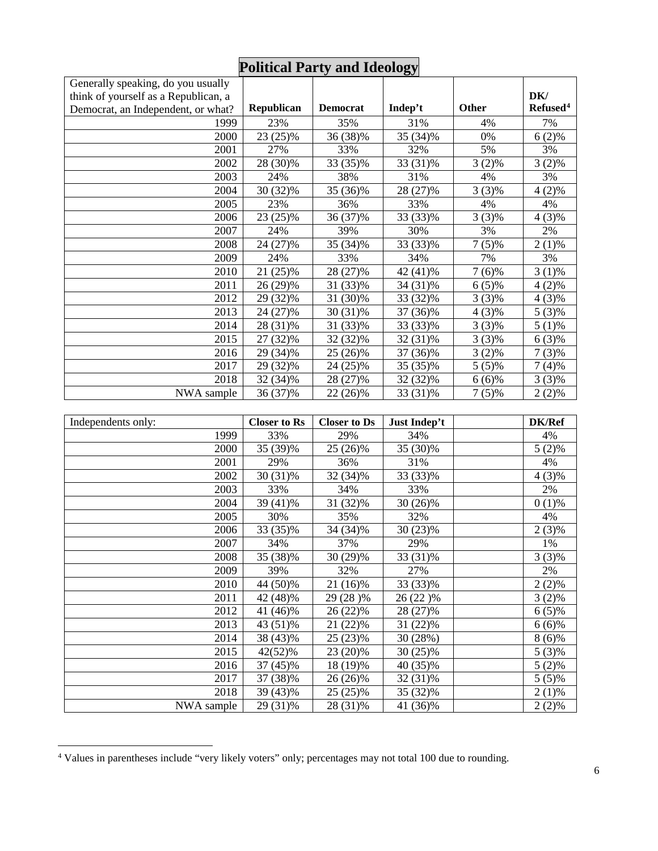|                                      |            |                 | $\mathbf{\sigma}$ |              |                      |
|--------------------------------------|------------|-----------------|-------------------|--------------|----------------------|
| Generally speaking, do you usually   |            |                 |                   |              |                      |
| think of yourself as a Republican, a |            |                 |                   |              | DK/                  |
| Democrat, an Independent, or what?   | Republican | <b>Democrat</b> | Indep't           | <b>Other</b> | Refused <sup>4</sup> |
| 1999                                 | 23%        | 35%             | 31%               | 4%           | 7%                   |
| 2000                                 | 23 (25)%   | 36 (38)%        | 35 (34)%          | 0%           | $6(2)\%$             |
| 2001                                 | 27%        | 33%             | 32%               | 5%           | 3%                   |
| 2002                                 | 28 (30)%   | 33 (35)%        | 33 (31)%          | $3(2)\%$     | $3(2)\%$             |
| 2003                                 | 24%        | 38%             | 31%               | 4%           | 3%                   |
| 2004                                 | 30 (32)%   | 35 (36)%        | 28 (27)%          | $3(3)\%$     | $4(2)\%$             |
| 2005                                 | 23%        | 36%             | 33%               | 4%           | 4%                   |
| 2006                                 | 23 (25)%   | 36 (37)%        | 33 (33)%          | $3(3)\%$     | $4(3)\%$             |
| 2007                                 | 24%        | 39%             | 30%               | 3%           | 2%                   |
| 2008                                 | 24 (27)%   | 35 (34)%        | 33 (33)%          | $7(5)\%$     | $2(1)\%$             |
| 2009                                 | 24%        | 33%             | 34%               | 7%           | 3%                   |
| 2010                                 | 21 (25)%   | 28 (27)%        | 42 (41)%          | 7 (6)%       | $3(1)\%$             |
| 2011                                 | 26 (29)%   | 31 (33)%        | 34 (31)%          | $6(5)\%$     | $4(2)\%$             |
| 2012                                 | 29 (32)%   | 31 (30)%        | 33 (32)%          | $3(3)\%$     | $4(3)\%$             |
| 2013                                 | 24 (27)%   | 30 (31)%        | 37 (36)%          | $4(3)\%$     | $5(3)\%$             |
| 2014                                 | 28 (31)%   | 31 (33)%        | 33 (33)%          | $3(3)\%$     | $5(1)\%$             |
| 2015                                 | 27 (32)%   | 32 (32)%        | 32 (31)%          | $3(3)\%$     | $6(3)\%$             |
| 2016                                 | 29 (34)%   | 25 (26)%        | 37 (36)%          | $3(2)\%$     | $7(3)\%$             |
| 2017                                 | 29 (32)%   | 24 (25)%        | 35 (35)%          | $5(5)\%$     | $7(4)\%$             |
| 2018                                 | 32 (34)%   | 28 (27)%        | 32 (32)%          | $6(6)\%$     | $3(3)\%$             |
| NWA sample                           | 36 (37)%   | 22 (26)%        | 33 (31)%          | $7(5)\%$     | $2(2)\%$             |

## **Political Party and Ideology**

| Independents only: | <b>Closer to Rs</b> | <b>Closer to Ds</b> | Just Indep't | <b>DK/Ref</b> |
|--------------------|---------------------|---------------------|--------------|---------------|
| 1999               | 33%                 | 29%                 | 34%          | 4%            |
| 2000               | 35 (39)%            | 25 (26)%            | 35 (30)%     | $5(2)\%$      |
| 2001               | 29%                 | 36%                 | 31%          | 4%            |
| 2002               | $30(31)\%$          | 32 (34)%            | 33 (33)%     | 4 (3)%        |
| 2003               | 33%                 | 34%                 | 33%          | 2%            |
| 2004               | 39 (41)%            | 31 (32)%            | 30 (26)%     | $0(1)\%$      |
| 2005               | 30%                 | 35%                 | 32%          | 4%            |
| 2006               | 33 (35)%            | 34 (34)%            | 30 (23)%     | $2(3)\%$      |
| 2007               | 34%                 | 37%                 | 29%          | 1%            |
| 2008               | 35 (38)%            | 30 (29)%            | 33 (31)%     | $3(3)\%$      |
| 2009               | 39%                 | 32%                 | 27%          | 2%            |
| 2010               | 44 (50)%            | 21 (16)%            | 33 (33)%     | $2(2)\%$      |
| 2011               | 42 (48)%            | 29 (28)%            | 26 (22)%     | $3(2)\%$      |
| 2012               | 41 (46)%            | 26 (22)%            | 28 (27)%     | $6(5)\%$      |
| 2013               | 43 (51)%            | 21 (22)%            | 31 (22)%     | $6(6)\%$      |
| 2014               | 38 (43)%            | 25 (23)%            | 30 (28%)     | $8(6)\%$      |
| 2015               | 42(52)%             | 23 (20)%            | 30 (25)%     | $5(3)\%$      |
| 2016               | 37 (45)%            | 18 (19)%            | 40 (35)%     | $5(2)\%$      |
| 2017               | 37 (38)%            | 26 (26)%            | 32 (31)%     | $5(5)\%$      |
| 2018               | 39 (43)%            | 25 (25)%            | 35 (32)%     | $2(1)\%$      |
| NWA sample         | 29 (31)%            | 28 (31)%            | 41 (36)%     | $2(2)\%$      |

<span id="page-5-0"></span>Values in parentheses include "very likely voters" only; percentages may not total 100 due to rounding.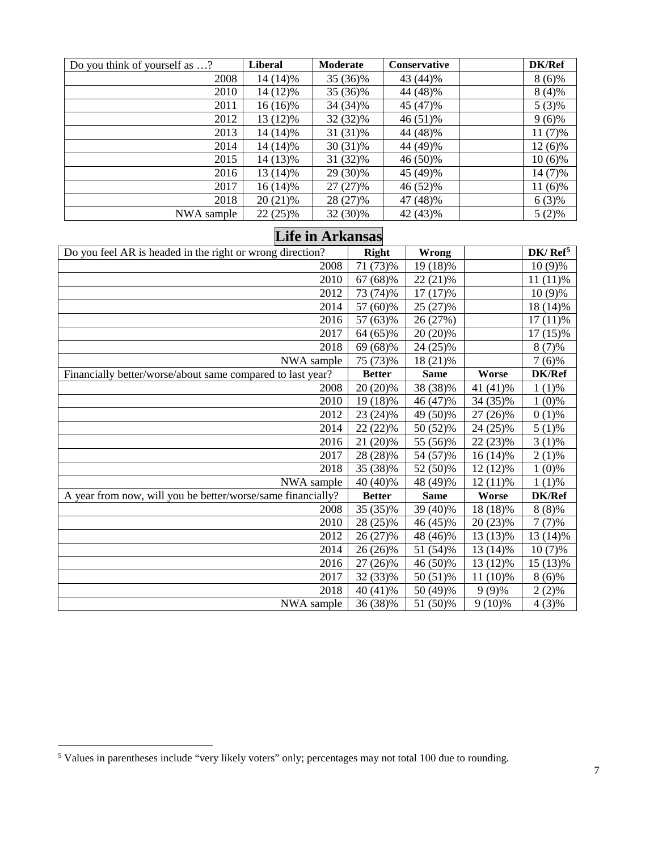| Do you think of yourself as ? | <b>Liberal</b> | Moderate   | <b>Conservative</b> | DK/Ref    |
|-------------------------------|----------------|------------|---------------------|-----------|
| 2008                          | 14 (14)%       | 35 (36)%   | 43 (44)%            | $8(6)\%$  |
| 2010                          | 14 (12)%       | 35 (36)%   | 44 (48)%            | $8(4)\%$  |
| 2011                          | $16(16)\%$     | 34 (34)%   | 45 (47)%            | $5(3)\%$  |
| 2012                          | 13 (12)%       | 32 (32)%   | 46 (51)%            | $9(6)\%$  |
| 2013                          | 14 (14)%       | 31 (31)%   | 44 (48)%            | $11(7)\%$ |
| 2014                          | 14 (14)%       | $30(31)\%$ | 44 (49)%            | $12(6)\%$ |
| 2015                          | 14 (13)%       | 31 (32)%   | 46 (50)%            | $10(6)\%$ |
| 2016                          | $13(14)\%$     | 29 (30)%   | 45 (49)%            | 14 (7)%   |
| 2017                          | $16(14)\%$     | 27 (27)%   | 46 (52)%            | $11(6)\%$ |
| 2018                          | 20 (21)%       | 28 (27)%   | 47 (48)%            | $6(3)\%$  |
| NWA sample                    | $22(25)\%$     | 32 (30)%   | 42 (43)%            | $5(2)\%$  |

## **Life in Arkansas**

| Do you feel AR is headed in the right or wrong direction?   | <b>Right</b>  | <b>Wrong</b> |            | DK/Ref <sup>5</sup> |
|-------------------------------------------------------------|---------------|--------------|------------|---------------------|
| 2008                                                        | 71 (73)%      | 19 (18)%     |            | $10(9)\%$           |
| 2010                                                        | 67 (68)%      | 22 (21)%     |            | $11(11)\%$          |
| 2012                                                        | 73 (74)%      | $17(17)\%$   |            | $10(9)\%$           |
| 2014                                                        | 57 (60)%      | 25 (27)%     |            | 18 (14)%            |
| 2016                                                        | 57 (63)%      | 26 (27%)     |            | $17(11)\%$          |
| 2017                                                        | 64 (65)%      | 20 (20)%     |            | $17(15)\%$          |
| 2018                                                        | 69 (68)%      | 24 (25)%     |            | $8(7)\%$            |
| NWA sample                                                  | 75 (73)%      | 18 (21)%     |            | $7(6)\%$            |
| Financially better/worse/about same compared to last year?  | <b>Better</b> | <b>Same</b>  | Worse      | DK/Ref              |
| 2008                                                        | 20 (20)%      | 38 (38)%     | 41 (41)%   | $1(1)\%$            |
| 2010                                                        | 19 (18)%      | 46 (47)%     | 34 (35)%   | $1(0)\%$            |
| 2012                                                        | 23 (24)%      | 49 (50)%     | 27 (26)%   | $0(1)\%$            |
| 2014                                                        | 22 (22)%      | 50 (52)%     | 24 (25)%   | $5(1)\%$            |
| 2016                                                        | 21 (20)%      | 55 (56)%     | 22 (23)%   | $3(1)\%$            |
| 2017                                                        | 28 (28)%      | 54 (57)%     | $16(14)\%$ | $2(1)\%$            |
| 2018                                                        | 35 (38)%      | 52 (50)%     | 12 (12)%   | $1(0)\%$            |
| NWA sample                                                  | 40 (40)%      | 48 (49)%     | $12(11)\%$ | $1(1)\%$            |
| A year from now, will you be better/worse/same financially? | <b>Better</b> | <b>Same</b>  | Worse      | DK/Ref              |
| 2008                                                        | 35 (35)%      | 39 (40)%     | 18 (18)%   | $8(8)\%$            |
| 2010                                                        | 28 (25)%      | 46 (45)%     | 20 (23)%   | $7(7)\%$            |
| 2012                                                        | 26 (27)%      | 48 (46)%     | 13 (13)%   | 13 (14)%            |
| 2014                                                        | 26 (26)%      | 51 (54)%     | $13(14)\%$ | $10(7)\%$           |
| 2016                                                        | 27 (26)%      | 46 (50)%     | 13 (12)%   | 15 (13)%            |
| 2017                                                        | 32 (33)%      | 50 (51)%     | 11 (10)%   | $8(6)\%$            |
| 2018                                                        | 40 (41)%      | 50 (49)%     | $9(9)\%$   | $2(2)\%$            |
| NWA sample                                                  | 36 (38)%      | 51 (50)%     | $9(10)\%$  | 4 (3)%              |

<span id="page-6-0"></span>Values in parentheses include "very likely voters" only; percentages may not total 100 due to rounding.